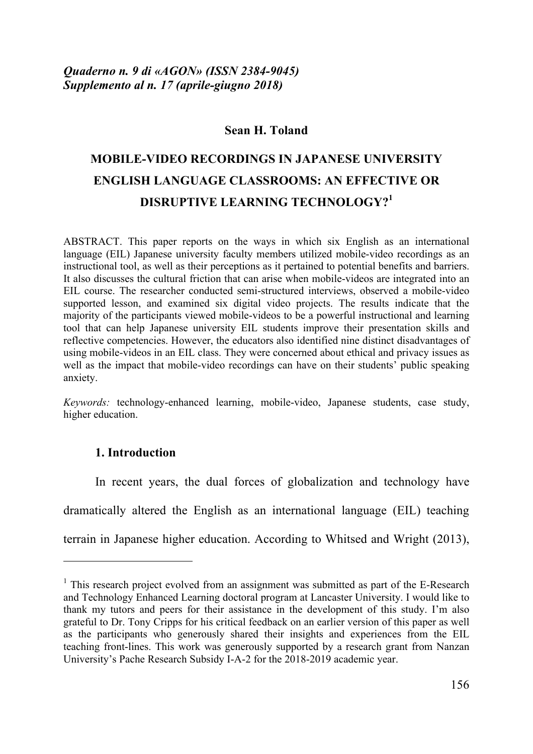# **Sean H. Toland**

# **MOBILE-VIDEO RECORDINGS IN JAPANESE UNIVERSITY ENGLISH LANGUAGE CLASSROOMS: AN EFFECTIVE OR DISRUPTIVE LEARNING TECHNOLOGY?<sup>1</sup>**

ABSTRACT. This paper reports on the ways in which six English as an international language (EIL) Japanese university faculty members utilized mobile-video recordings as an instructional tool, as well as their perceptions as it pertained to potential benefits and barriers. It also discusses the cultural friction that can arise when mobile-videos are integrated into an EIL course. The researcher conducted semi-structured interviews, observed a mobile-video supported lesson, and examined six digital video projects. The results indicate that the majority of the participants viewed mobile-videos to be a powerful instructional and learning tool that can help Japanese university EIL students improve their presentation skills and reflective competencies. However, the educators also identified nine distinct disadvantages of using mobile-videos in an EIL class. They were concerned about ethical and privacy issues as well as the impact that mobile-video recordings can have on their students' public speaking anxiety.

*Keywords:* technology-enhanced learning, mobile-video, Japanese students, case study, higher education.

# **1. Introduction**

 $\overline{a}$ 

In recent years, the dual forces of globalization and technology have dramatically altered the English as an international language (EIL) teaching terrain in Japanese higher education. According to Whitsed and Wright (2013),

 $1$ . This research project evolved from an assignment was submitted as part of the E-Research and Technology Enhanced Learning doctoral program at Lancaster University. I would like to thank my tutors and peers for their assistance in the development of this study. I'm also grateful to Dr. Tony Cripps for his critical feedback on an earlier version of this paper as well as the participants who generously shared their insights and experiences from the EIL teaching front-lines. This work was generously supported by a research grant from Nanzan University's Pache Research Subsidy I-A-2 for the 2018-2019 academic year.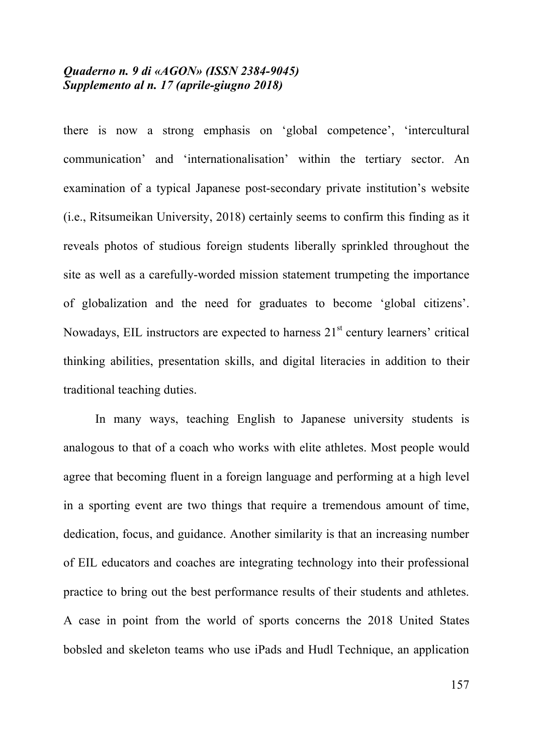there is now a strong emphasis on 'global competence', 'intercultural communication' and 'internationalisation' within the tertiary sector. An examination of a typical Japanese post-secondary private institution's website (i.e., Ritsumeikan University, 2018) certainly seems to confirm this finding as it reveals photos of studious foreign students liberally sprinkled throughout the site as well as a carefully-worded mission statement trumpeting the importance of globalization and the need for graduates to become 'global citizens'. Nowadays, EIL instructors are expected to harness  $21<sup>st</sup>$  century learners' critical thinking abilities, presentation skills, and digital literacies in addition to their traditional teaching duties.

In many ways, teaching English to Japanese university students is analogous to that of a coach who works with elite athletes. Most people would agree that becoming fluent in a foreign language and performing at a high level in a sporting event are two things that require a tremendous amount of time, dedication, focus, and guidance. Another similarity is that an increasing number of EIL educators and coaches are integrating technology into their professional practice to bring out the best performance results of their students and athletes. A case in point from the world of sports concerns the 2018 United States bobsled and skeleton teams who use iPads and Hudl Technique, an application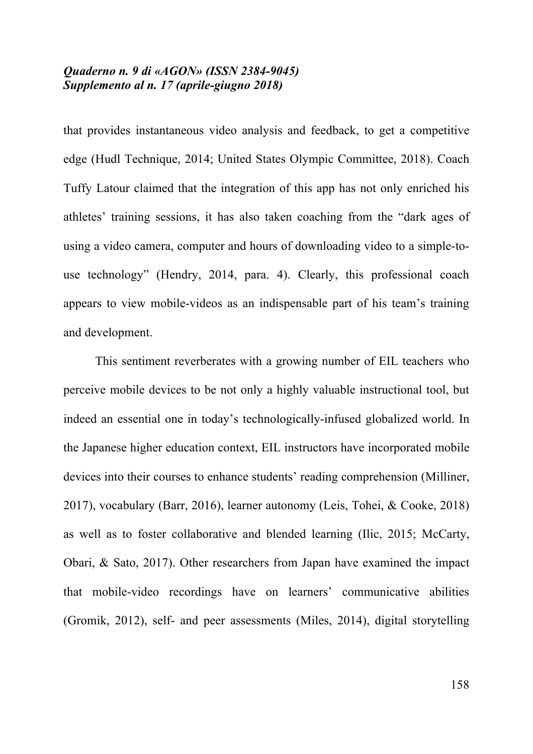that provides instantaneous video analysis and feedback, to get a competitive edge (Hudl Technique, 2014; United States Olympic Committee, 2018). Coach Tuffy Latour claimed that the integration of this app has not only enriched his athletes' training sessions, it has also taken coaching from the "dark ages of using a video camera, computer and hours of downloading video to a simple-touse technology" (Hendry, 2014, para. 4). Clearly, this professional coach appears to view mobile-videos as an indispensable part of his team's training and development.

This sentiment reverberates with a growing number of EIL teachers who perceive mobile devices to be not only a highly valuable instructional tool, but indeed an essential one in today's technologically-infused globalized world. In the Japanese higher education context, EIL instructors have incorporated mobile devices into their courses to enhance students' reading comprehension (Milliner, 2017), vocabulary (Barr, 2016), learner autonomy (Leis, Tohei, & Cooke, 2018) as well as to foster collaborative and blended learning (Ilic, 2015; McCarty, Obari, & Sato, 2017). Other researchers from Japan have examined the impact that mobile-video recordings have on learners' communicative abilities (Gromik, 2012), self- and peer assessments (Miles, 2014), digital storytelling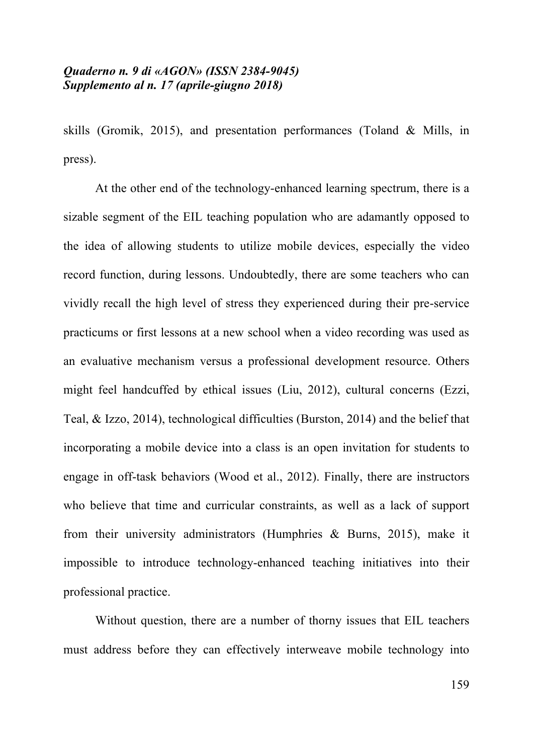skills (Gromik, 2015), and presentation performances (Toland & Mills, in press).

At the other end of the technology-enhanced learning spectrum, there is a sizable segment of the EIL teaching population who are adamantly opposed to the idea of allowing students to utilize mobile devices, especially the video record function, during lessons. Undoubtedly, there are some teachers who can vividly recall the high level of stress they experienced during their pre-service practicums or first lessons at a new school when a video recording was used as an evaluative mechanism versus a professional development resource. Others might feel handcuffed by ethical issues (Liu, 2012), cultural concerns (Ezzi, Teal, & Izzo, 2014), technological difficulties (Burston, 2014) and the belief that incorporating a mobile device into a class is an open invitation for students to engage in off-task behaviors (Wood et al., 2012). Finally, there are instructors who believe that time and curricular constraints, as well as a lack of support from their university administrators (Humphries & Burns, 2015), make it impossible to introduce technology-enhanced teaching initiatives into their professional practice.

Without question, there are a number of thorny issues that EIL teachers must address before they can effectively interweave mobile technology into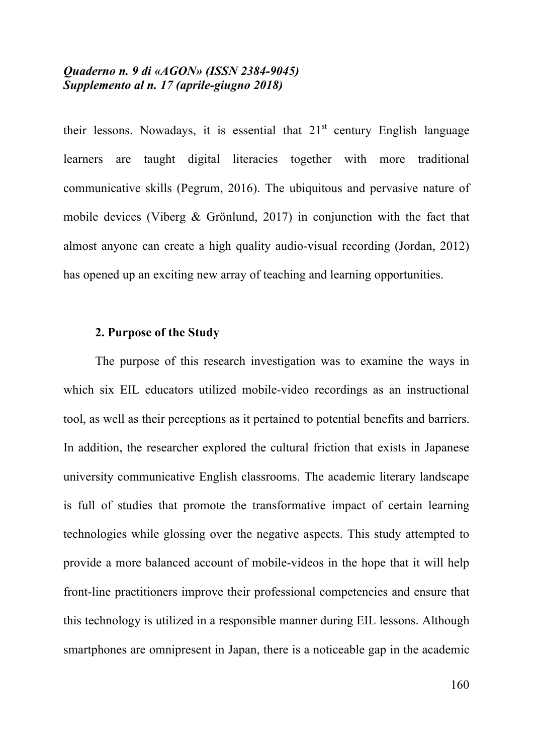their lessons. Nowadays, it is essential that  $21<sup>st</sup>$  century English language learners are taught digital literacies together with more traditional communicative skills (Pegrum, 2016). The ubiquitous and pervasive nature of mobile devices (Viberg & Grönlund, 2017) in conjunction with the fact that almost anyone can create a high quality audio-visual recording (Jordan, 2012) has opened up an exciting new array of teaching and learning opportunities.

## **2. Purpose of the Study**

The purpose of this research investigation was to examine the ways in which six EIL educators utilized mobile-video recordings as an instructional tool, as well as their perceptions as it pertained to potential benefits and barriers. In addition, the researcher explored the cultural friction that exists in Japanese university communicative English classrooms. The academic literary landscape is full of studies that promote the transformative impact of certain learning technologies while glossing over the negative aspects. This study attempted to provide a more balanced account of mobile-videos in the hope that it will help front-line practitioners improve their professional competencies and ensure that this technology is utilized in a responsible manner during EIL lessons. Although smartphones are omnipresent in Japan, there is a noticeable gap in the academic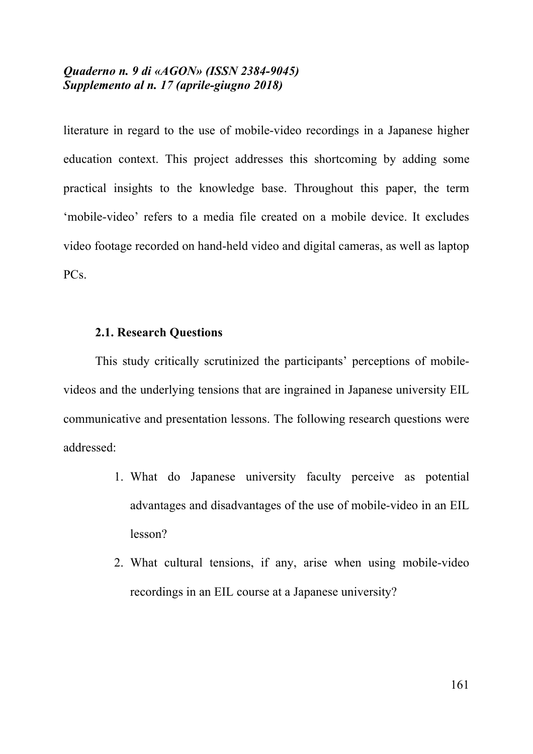literature in regard to the use of mobile-video recordings in a Japanese higher education context. This project addresses this shortcoming by adding some practical insights to the knowledge base. Throughout this paper, the term 'mobile-video' refers to a media file created on a mobile device. It excludes video footage recorded on hand-held video and digital cameras, as well as laptop PC<sub>s</sub>.

### **2.1. Research Questions**

This study critically scrutinized the participants' perceptions of mobilevideos and the underlying tensions that are ingrained in Japanese university EIL communicative and presentation lessons. The following research questions were addressed:

- 1. What do Japanese university faculty perceive as potential advantages and disadvantages of the use of mobile-video in an EIL lesson?
- 2. What cultural tensions, if any, arise when using mobile-video recordings in an EIL course at a Japanese university?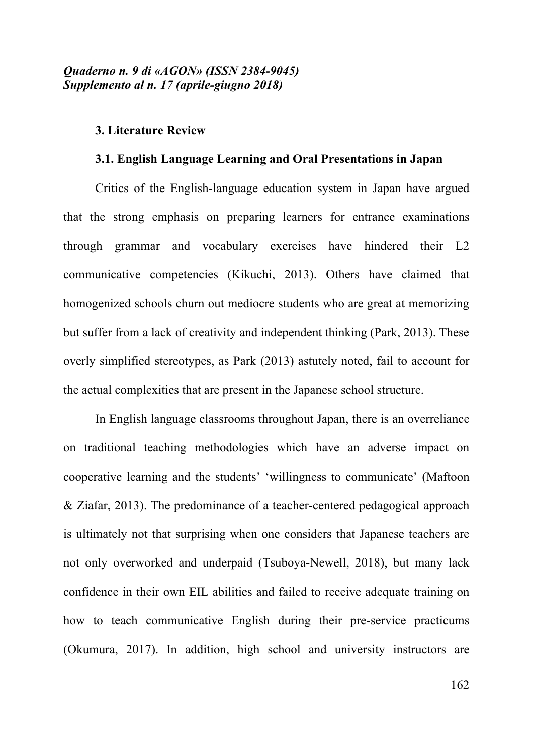#### **3. Literature Review**

#### **3.1. English Language Learning and Oral Presentations in Japan**

Critics of the English-language education system in Japan have argued that the strong emphasis on preparing learners for entrance examinations through grammar and vocabulary exercises have hindered their L2 communicative competencies (Kikuchi, 2013). Others have claimed that homogenized schools churn out mediocre students who are great at memorizing but suffer from a lack of creativity and independent thinking (Park, 2013). These overly simplified stereotypes, as Park (2013) astutely noted, fail to account for the actual complexities that are present in the Japanese school structure.

In English language classrooms throughout Japan, there is an overreliance on traditional teaching methodologies which have an adverse impact on cooperative learning and the students' 'willingness to communicate' (Maftoon & Ziafar, 2013). The predominance of a teacher-centered pedagogical approach is ultimately not that surprising when one considers that Japanese teachers are not only overworked and underpaid (Tsuboya-Newell, 2018), but many lack confidence in their own EIL abilities and failed to receive adequate training on how to teach communicative English during their pre-service practicums (Okumura, 2017). In addition, high school and university instructors are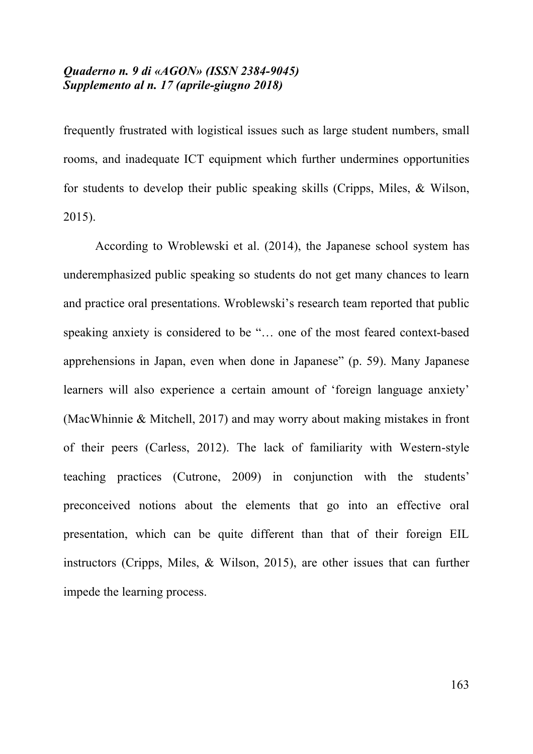frequently frustrated with logistical issues such as large student numbers, small rooms, and inadequate ICT equipment which further undermines opportunities for students to develop their public speaking skills (Cripps, Miles, & Wilson, 2015).

According to Wroblewski et al. (2014), the Japanese school system has underemphasized public speaking so students do not get many chances to learn and practice oral presentations. Wroblewski's research team reported that public speaking anxiety is considered to be "… one of the most feared context-based apprehensions in Japan, even when done in Japanese" (p. 59). Many Japanese learners will also experience a certain amount of 'foreign language anxiety' (MacWhinnie & Mitchell, 2017) and may worry about making mistakes in front of their peers (Carless, 2012). The lack of familiarity with Western-style teaching practices (Cutrone, 2009) in conjunction with the students' preconceived notions about the elements that go into an effective oral presentation, which can be quite different than that of their foreign EIL instructors (Cripps, Miles, & Wilson, 2015), are other issues that can further impede the learning process.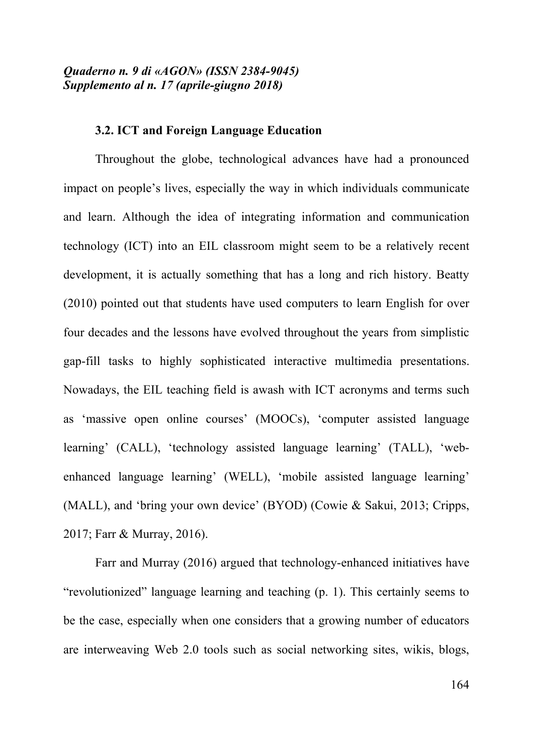## **3.2. ICT and Foreign Language Education**

Throughout the globe, technological advances have had a pronounced impact on people's lives, especially the way in which individuals communicate and learn. Although the idea of integrating information and communication technology (ICT) into an EIL classroom might seem to be a relatively recent development, it is actually something that has a long and rich history. Beatty (2010) pointed out that students have used computers to learn English for over four decades and the lessons have evolved throughout the years from simplistic gap-fill tasks to highly sophisticated interactive multimedia presentations. Nowadays, the EIL teaching field is awash with ICT acronyms and terms such as 'massive open online courses' (MOOCs), 'computer assisted language learning' (CALL), 'technology assisted language learning' (TALL), 'webenhanced language learning' (WELL), 'mobile assisted language learning' (MALL), and 'bring your own device' (BYOD) (Cowie & Sakui, 2013; Cripps, 2017; Farr & Murray, 2016).

Farr and Murray (2016) argued that technology-enhanced initiatives have "revolutionized" language learning and teaching (p. 1). This certainly seems to be the case, especially when one considers that a growing number of educators are interweaving Web 2.0 tools such as social networking sites, wikis, blogs,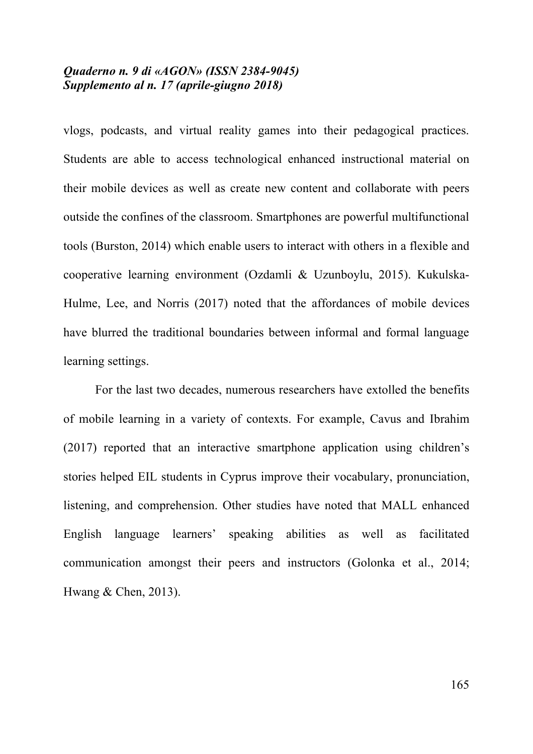vlogs, podcasts, and virtual reality games into their pedagogical practices. Students are able to access technological enhanced instructional material on their mobile devices as well as create new content and collaborate with peers outside the confines of the classroom. Smartphones are powerful multifunctional tools (Burston, 2014) which enable users to interact with others in a flexible and cooperative learning environment (Ozdamli & Uzunboylu, 2015). Kukulska-Hulme, Lee, and Norris (2017) noted that the affordances of mobile devices have blurred the traditional boundaries between informal and formal language learning settings.

For the last two decades, numerous researchers have extolled the benefits of mobile learning in a variety of contexts. For example, Cavus and Ibrahim (2017) reported that an interactive smartphone application using children's stories helped EIL students in Cyprus improve their vocabulary, pronunciation, listening, and comprehension. Other studies have noted that MALL enhanced English language learners' speaking abilities as well as facilitated communication amongst their peers and instructors (Golonka et al., 2014; Hwang & Chen, 2013).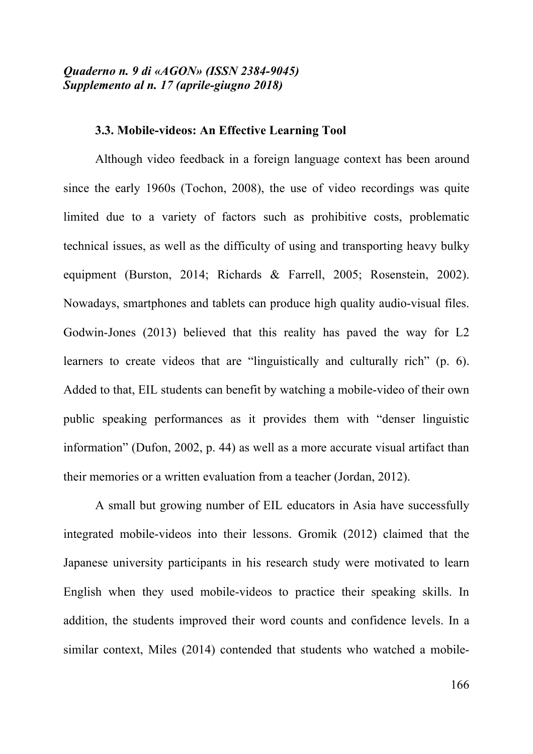## **3.3. Mobile-videos: An Effective Learning Tool**

Although video feedback in a foreign language context has been around since the early 1960s (Tochon, 2008), the use of video recordings was quite limited due to a variety of factors such as prohibitive costs, problematic technical issues, as well as the difficulty of using and transporting heavy bulky equipment (Burston, 2014; Richards & Farrell, 2005; Rosenstein, 2002). Nowadays, smartphones and tablets can produce high quality audio-visual files. Godwin-Jones (2013) believed that this reality has paved the way for L2 learners to create videos that are "linguistically and culturally rich" (p. 6). Added to that, EIL students can benefit by watching a mobile-video of their own public speaking performances as it provides them with "denser linguistic information" (Dufon, 2002, p. 44) as well as a more accurate visual artifact than their memories or a written evaluation from a teacher (Jordan, 2012).

A small but growing number of EIL educators in Asia have successfully integrated mobile-videos into their lessons. Gromik (2012) claimed that the Japanese university participants in his research study were motivated to learn English when they used mobile-videos to practice their speaking skills. In addition, the students improved their word counts and confidence levels. In a similar context, Miles (2014) contended that students who watched a mobile-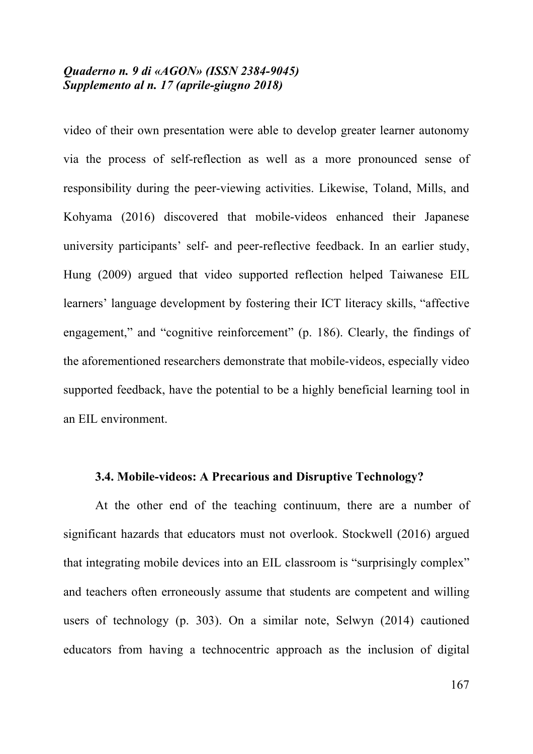video of their own presentation were able to develop greater learner autonomy via the process of self-reflection as well as a more pronounced sense of responsibility during the peer-viewing activities. Likewise, Toland, Mills, and Kohyama (2016) discovered that mobile-videos enhanced their Japanese university participants' self- and peer-reflective feedback. In an earlier study, Hung (2009) argued that video supported reflection helped Taiwanese EIL learners' language development by fostering their ICT literacy skills, "affective engagement," and "cognitive reinforcement" (p. 186). Clearly, the findings of the aforementioned researchers demonstrate that mobile-videos, especially video supported feedback, have the potential to be a highly beneficial learning tool in an EIL environment.

### **3.4. Mobile-videos: A Precarious and Disruptive Technology?**

At the other end of the teaching continuum, there are a number of significant hazards that educators must not overlook. Stockwell (2016) argued that integrating mobile devices into an EIL classroom is "surprisingly complex" and teachers often erroneously assume that students are competent and willing users of technology (p. 303). On a similar note, Selwyn (2014) cautioned educators from having a technocentric approach as the inclusion of digital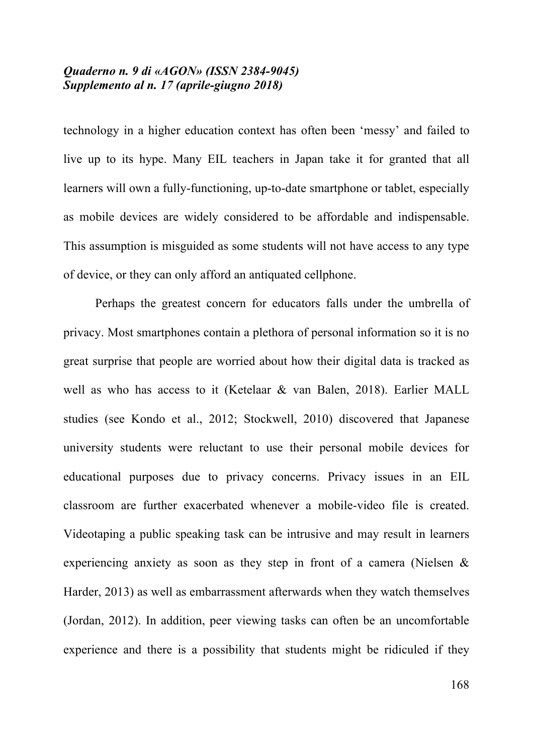technology in a higher education context has often been 'messy' and failed to live up to its hype. Many EIL teachers in Japan take it for granted that all learners will own a fully-functioning, up-to-date smartphone or tablet, especially as mobile devices are widely considered to be affordable and indispensable. This assumption is misguided as some students will not have access to any type of device, or they can only afford an antiquated cellphone.

Perhaps the greatest concern for educators falls under the umbrella of privacy. Most smartphones contain a plethora of personal information so it is no great surprise that people are worried about how their digital data is tracked as well as who has access to it (Ketelaar & van Balen, 2018). Earlier MALL studies (see Kondo et al., 2012; Stockwell, 2010) discovered that Japanese university students were reluctant to use their personal mobile devices for educational purposes due to privacy concerns. Privacy issues in an EIL classroom are further exacerbated whenever a mobile-video file is created. Videotaping a public speaking task can be intrusive and may result in learners experiencing anxiety as soon as they step in front of a camera (Nielsen & Harder, 2013) as well as embarrassment afterwards when they watch themselves (Jordan, 2012). In addition, peer viewing tasks can often be an uncomfortable experience and there is a possibility that students might be ridiculed if they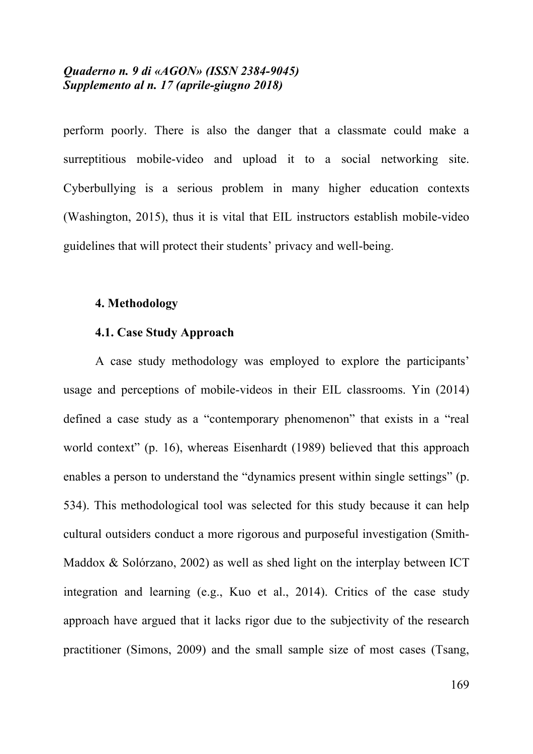perform poorly. There is also the danger that a classmate could make a surreptitious mobile-video and upload it to a social networking site. Cyberbullying is a serious problem in many higher education contexts (Washington, 2015), thus it is vital that EIL instructors establish mobile-video guidelines that will protect their students' privacy and well-being.

#### **4. Methodology**

## **4.1. Case Study Approach**

A case study methodology was employed to explore the participants' usage and perceptions of mobile-videos in their EIL classrooms. Yin (2014) defined a case study as a "contemporary phenomenon" that exists in a "real world context" (p. 16), whereas Eisenhardt (1989) believed that this approach enables a person to understand the "dynamics present within single settings" (p. 534). This methodological tool was selected for this study because it can help cultural outsiders conduct a more rigorous and purposeful investigation (Smith-Maddox & Solórzano, 2002) as well as shed light on the interplay between ICT integration and learning (e.g., Kuo et al., 2014). Critics of the case study approach have argued that it lacks rigor due to the subjectivity of the research practitioner (Simons, 2009) and the small sample size of most cases (Tsang,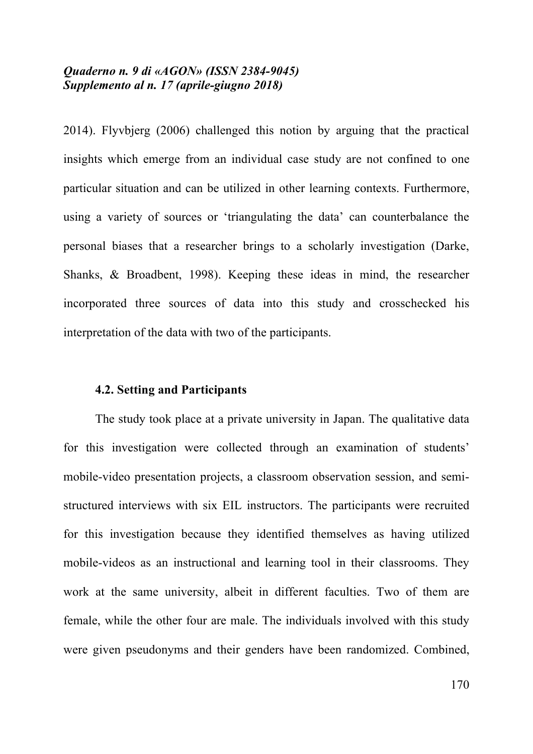2014). Flyvbjerg (2006) challenged this notion by arguing that the practical insights which emerge from an individual case study are not confined to one particular situation and can be utilized in other learning contexts. Furthermore, using a variety of sources or 'triangulating the data' can counterbalance the personal biases that a researcher brings to a scholarly investigation (Darke, Shanks, & Broadbent, 1998). Keeping these ideas in mind, the researcher incorporated three sources of data into this study and crosschecked his interpretation of the data with two of the participants.

#### **4.2. Setting and Participants**

The study took place at a private university in Japan. The qualitative data for this investigation were collected through an examination of students' mobile-video presentation projects, a classroom observation session, and semistructured interviews with six EIL instructors. The participants were recruited for this investigation because they identified themselves as having utilized mobile-videos as an instructional and learning tool in their classrooms. They work at the same university, albeit in different faculties. Two of them are female, while the other four are male. The individuals involved with this study were given pseudonyms and their genders have been randomized. Combined,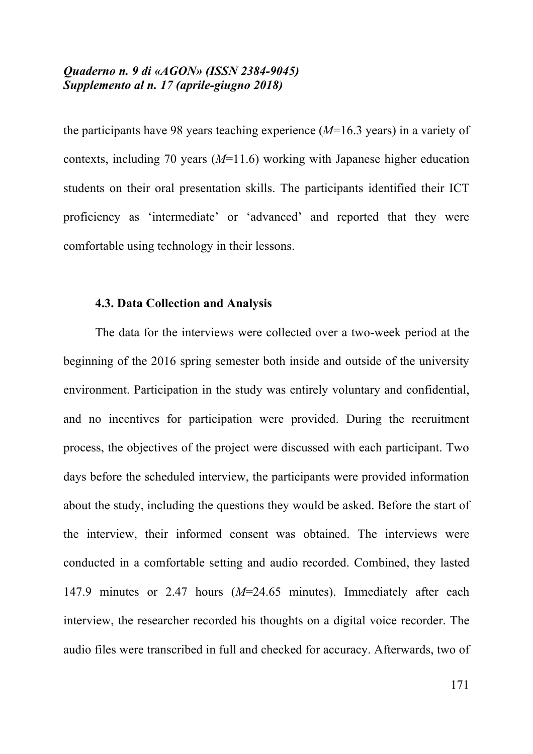the participants have 98 years teaching experience (*M*=16.3 years) in a variety of contexts, including 70 years (*M*=11.6) working with Japanese higher education students on their oral presentation skills. The participants identified their ICT proficiency as 'intermediate' or 'advanced' and reported that they were comfortable using technology in their lessons.

#### **4.3. Data Collection and Analysis**

The data for the interviews were collected over a two-week period at the beginning of the 2016 spring semester both inside and outside of the university environment. Participation in the study was entirely voluntary and confidential, and no incentives for participation were provided. During the recruitment process, the objectives of the project were discussed with each participant. Two days before the scheduled interview, the participants were provided information about the study, including the questions they would be asked. Before the start of the interview, their informed consent was obtained. The interviews were conducted in a comfortable setting and audio recorded. Combined, they lasted 147.9 minutes or 2.47 hours (*M*=24.65 minutes). Immediately after each interview, the researcher recorded his thoughts on a digital voice recorder. The audio files were transcribed in full and checked for accuracy. Afterwards, two of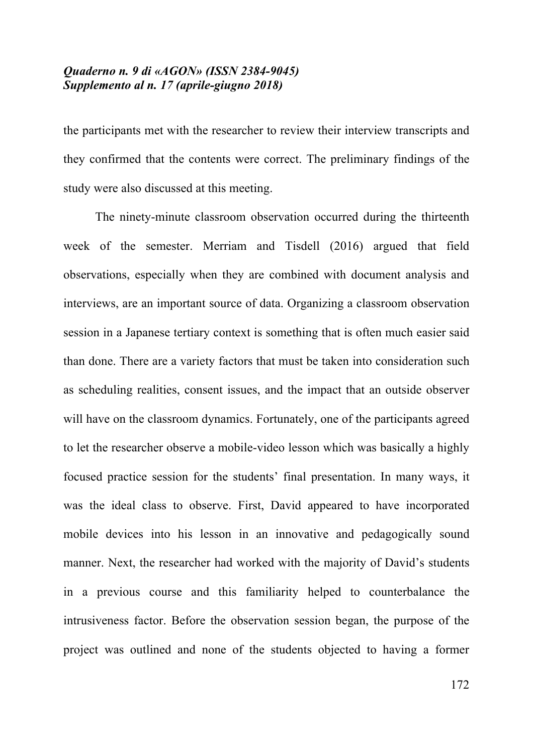the participants met with the researcher to review their interview transcripts and they confirmed that the contents were correct. The preliminary findings of the study were also discussed at this meeting.

The ninety-minute classroom observation occurred during the thirteenth week of the semester. Merriam and Tisdell (2016) argued that field observations, especially when they are combined with document analysis and interviews, are an important source of data. Organizing a classroom observation session in a Japanese tertiary context is something that is often much easier said than done. There are a variety factors that must be taken into consideration such as scheduling realities, consent issues, and the impact that an outside observer will have on the classroom dynamics. Fortunately, one of the participants agreed to let the researcher observe a mobile-video lesson which was basically a highly focused practice session for the students' final presentation. In many ways, it was the ideal class to observe. First, David appeared to have incorporated mobile devices into his lesson in an innovative and pedagogically sound manner. Next, the researcher had worked with the majority of David's students in a previous course and this familiarity helped to counterbalance the intrusiveness factor. Before the observation session began, the purpose of the project was outlined and none of the students objected to having a former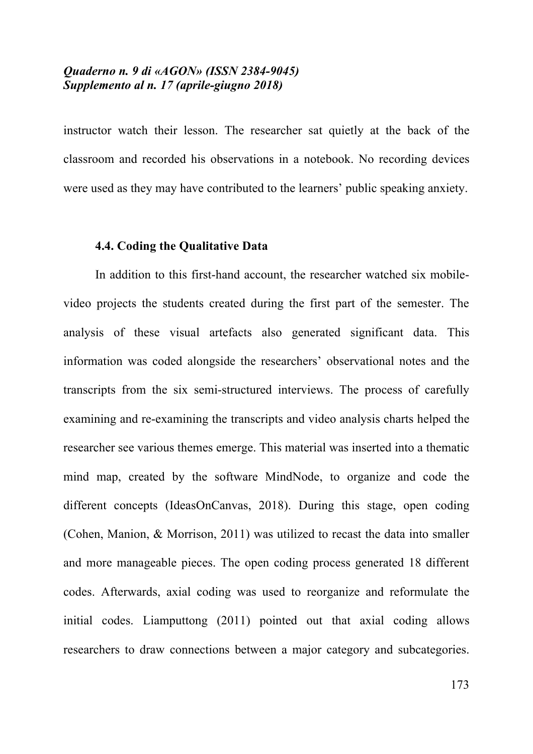instructor watch their lesson. The researcher sat quietly at the back of the classroom and recorded his observations in a notebook. No recording devices were used as they may have contributed to the learners' public speaking anxiety.

## **4.4. Coding the Qualitative Data**

In addition to this first-hand account, the researcher watched six mobilevideo projects the students created during the first part of the semester. The analysis of these visual artefacts also generated significant data. This information was coded alongside the researchers' observational notes and the transcripts from the six semi-structured interviews. The process of carefully examining and re-examining the transcripts and video analysis charts helped the researcher see various themes emerge. This material was inserted into a thematic mind map, created by the software MindNode, to organize and code the different concepts (IdeasOnCanvas, 2018). During this stage, open coding (Cohen, Manion, & Morrison, 2011) was utilized to recast the data into smaller and more manageable pieces. The open coding process generated 18 different codes. Afterwards, axial coding was used to reorganize and reformulate the initial codes. Liamputtong (2011) pointed out that axial coding allows researchers to draw connections between a major category and subcategories.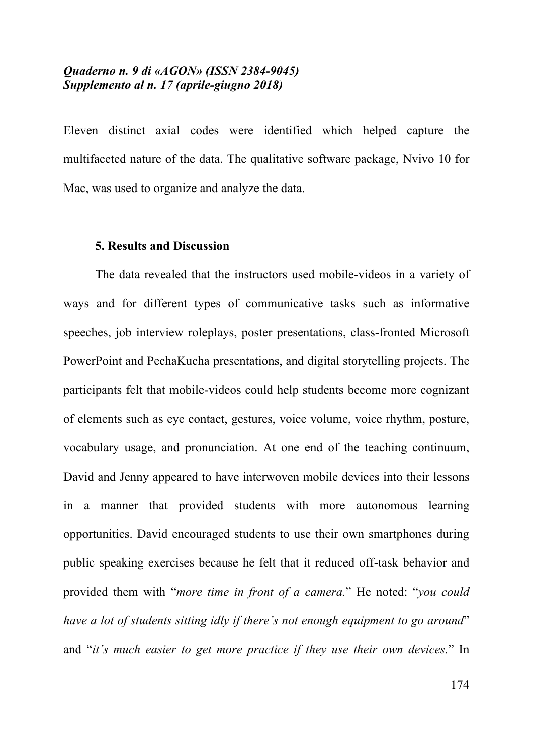Eleven distinct axial codes were identified which helped capture the multifaceted nature of the data. The qualitative software package, Nvivo 10 for Mac, was used to organize and analyze the data.

## **5. Results and Discussion**

The data revealed that the instructors used mobile-videos in a variety of ways and for different types of communicative tasks such as informative speeches, job interview roleplays, poster presentations, class-fronted Microsoft PowerPoint and PechaKucha presentations, and digital storytelling projects. The participants felt that mobile-videos could help students become more cognizant of elements such as eye contact, gestures, voice volume, voice rhythm, posture, vocabulary usage, and pronunciation. At one end of the teaching continuum, David and Jenny appeared to have interwoven mobile devices into their lessons in a manner that provided students with more autonomous learning opportunities. David encouraged students to use their own smartphones during public speaking exercises because he felt that it reduced off-task behavior and provided them with "*more time in front of a camera.*" He noted: "*you could have a lot of students sitting idly if there's not enough equipment to go around*" and "*it's much easier to get more practice if they use their own devices.*" In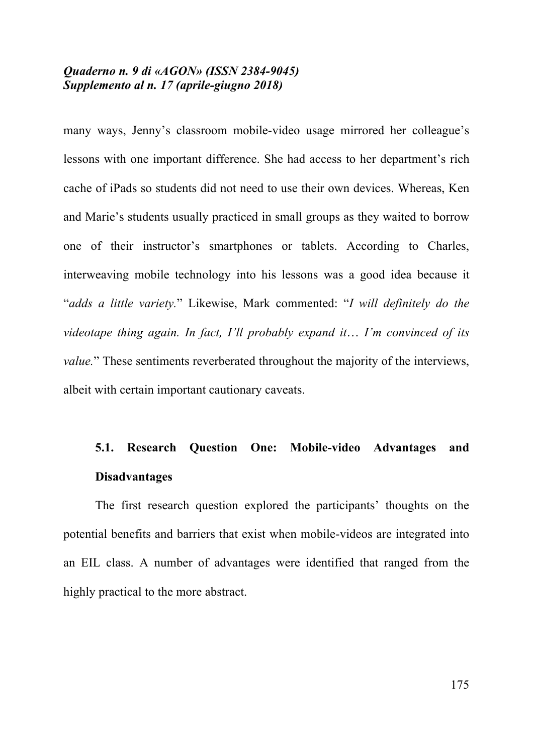many ways, Jenny's classroom mobile-video usage mirrored her colleague's lessons with one important difference. She had access to her department's rich cache of iPads so students did not need to use their own devices. Whereas, Ken and Marie's students usually practiced in small groups as they waited to borrow one of their instructor's smartphones or tablets. According to Charles, interweaving mobile technology into his lessons was a good idea because it "*adds a little variety.*" Likewise, Mark commented: "*I will definitely do the videotape thing again. In fact, I'll probably expand it*… *I'm convinced of its value.*" These sentiments reverberated throughout the majority of the interviews, albeit with certain important cautionary caveats.

# **5.1. Research Question One: Mobile-video Advantages and Disadvantages**

The first research question explored the participants' thoughts on the potential benefits and barriers that exist when mobile-videos are integrated into an EIL class. A number of advantages were identified that ranged from the highly practical to the more abstract.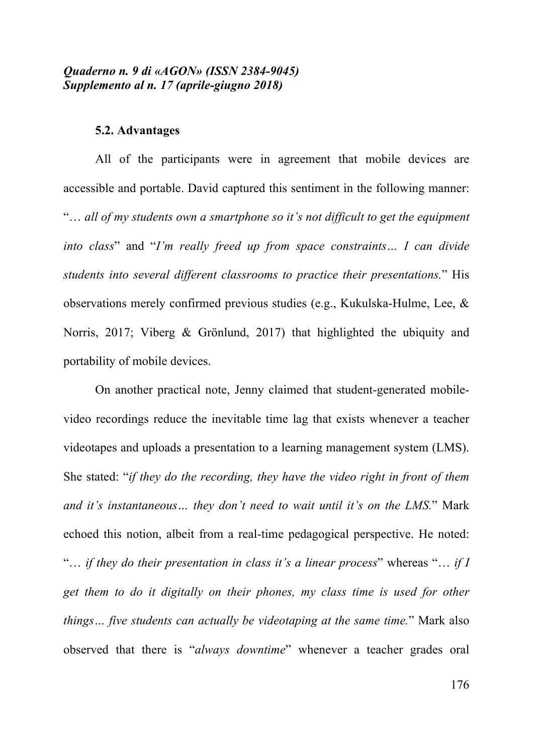#### **5.2. Advantages**

All of the participants were in agreement that mobile devices are accessible and portable. David captured this sentiment in the following manner: "… *all of my students own a smartphone so it's not difficult to get the equipment into class*" and "*I'm really freed up from space constraints… I can divide students into several different classrooms to practice their presentations.*" His observations merely confirmed previous studies (e.g., Kukulska-Hulme, Lee, & Norris, 2017; Viberg & Grönlund, 2017) that highlighted the ubiquity and portability of mobile devices.

On another practical note, Jenny claimed that student-generated mobilevideo recordings reduce the inevitable time lag that exists whenever a teacher videotapes and uploads a presentation to a learning management system (LMS). She stated: "*if they do the recording, they have the video right in front of them and it's instantaneous… they don't need to wait until it's on the LMS.*" Mark echoed this notion, albeit from a real-time pedagogical perspective. He noted: "… *if they do their presentation in class it's a linear process*" whereas "… *if I get them to do it digitally on their phones, my class time is used for other things… five students can actually be videotaping at the same time.*" Mark also observed that there is "*always downtime*" whenever a teacher grades oral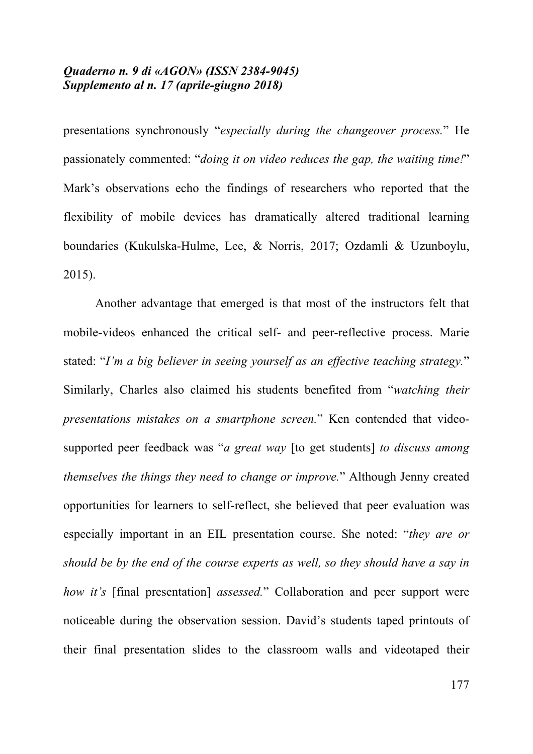presentations synchronously "*especially during the changeover process.*" He passionately commented: "*doing it on video reduces the gap, the waiting time!*" Mark's observations echo the findings of researchers who reported that the flexibility of mobile devices has dramatically altered traditional learning boundaries (Kukulska-Hulme, Lee, & Norris, 2017; Ozdamli & Uzunboylu, 2015).

Another advantage that emerged is that most of the instructors felt that mobile-videos enhanced the critical self- and peer-reflective process. Marie stated: "*I'm a big believer in seeing yourself as an effective teaching strategy.*" Similarly, Charles also claimed his students benefited from "*watching their presentations mistakes on a smartphone screen.*" Ken contended that videosupported peer feedback was "*a great way* [to get students] *to discuss among themselves the things they need to change or improve.*" Although Jenny created opportunities for learners to self-reflect, she believed that peer evaluation was especially important in an EIL presentation course. She noted: "*they are or should be by the end of the course experts as well, so they should have a say in how it's* [final presentation] *assessed.*" Collaboration and peer support were noticeable during the observation session. David's students taped printouts of their final presentation slides to the classroom walls and videotaped their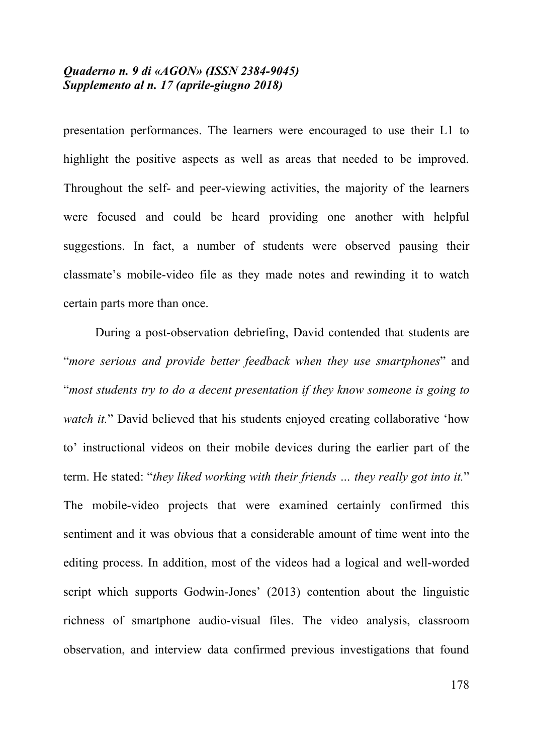presentation performances. The learners were encouraged to use their L1 to highlight the positive aspects as well as areas that needed to be improved. Throughout the self- and peer-viewing activities, the majority of the learners were focused and could be heard providing one another with helpful suggestions. In fact, a number of students were observed pausing their classmate's mobile-video file as they made notes and rewinding it to watch certain parts more than once.

During a post-observation debriefing, David contended that students are "*more serious and provide better feedback when they use smartphones*" and "*most students try to do a decent presentation if they know someone is going to watch it.*" David believed that his students enjoyed creating collaborative 'how to' instructional videos on their mobile devices during the earlier part of the term. He stated: "*they liked working with their friends … they really got into it.*" The mobile-video projects that were examined certainly confirmed this sentiment and it was obvious that a considerable amount of time went into the editing process. In addition, most of the videos had a logical and well-worded script which supports Godwin-Jones' (2013) contention about the linguistic richness of smartphone audio-visual files. The video analysis, classroom observation, and interview data confirmed previous investigations that found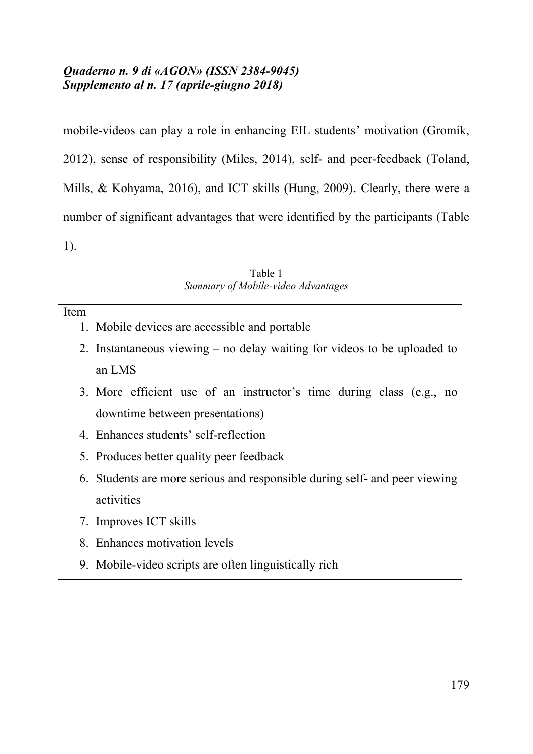mobile-videos can play a role in enhancing EIL students' motivation (Gromik, 2012), sense of responsibility (Miles, 2014), self- and peer-feedback (Toland, Mills, & Kohyama, 2016), and ICT skills (Hung, 2009). Clearly, there were a number of significant advantages that were identified by the participants (Table 1).

Table 1 *Summary of Mobile-video Advantages*

- 1. Mobile devices are accessible and portable
- 2. Instantaneous viewing no delay waiting for videos to be uploaded to an LMS
- 3. More efficient use of an instructor's time during class (e.g., no downtime between presentations)
- 4. Enhances students' self-reflection
- 5. Produces better quality peer feedback
- 6. Students are more serious and responsible during self- and peer viewing activities
- 7. Improves ICT skills
- 8. Enhances motivation levels
- 9. Mobile-video scripts are often linguistically rich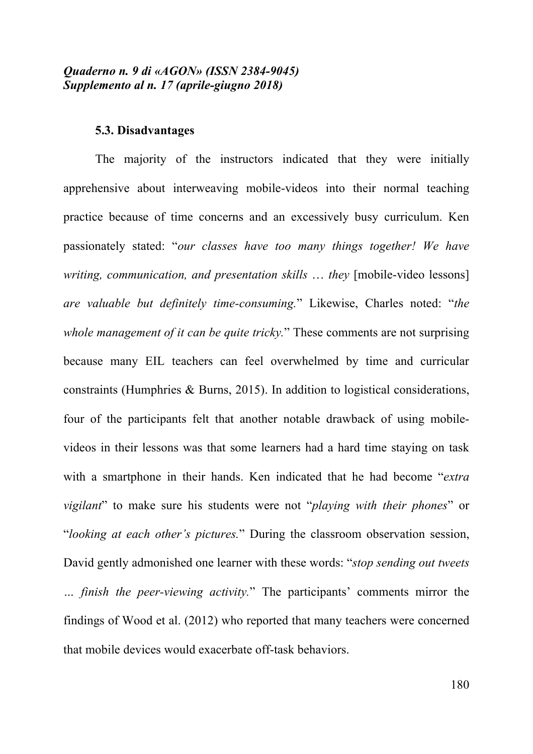#### **5.3. Disadvantages**

The majority of the instructors indicated that they were initially apprehensive about interweaving mobile-videos into their normal teaching practice because of time concerns and an excessively busy curriculum. Ken passionately stated: "*our classes have too many things together! We have writing, communication, and presentation skills* … *they* [mobile-video lessons] *are valuable but definitely time-consuming.*" Likewise, Charles noted: "*the whole management of it can be quite tricky.*" These comments are not surprising because many EIL teachers can feel overwhelmed by time and curricular constraints (Humphries & Burns, 2015). In addition to logistical considerations, four of the participants felt that another notable drawback of using mobilevideos in their lessons was that some learners had a hard time staying on task with a smartphone in their hands. Ken indicated that he had become "*extra vigilant*" to make sure his students were not "*playing with their phones*" or "*looking at each other's pictures.*" During the classroom observation session, David gently admonished one learner with these words: "*stop sending out tweets … finish the peer-viewing activity.*" The participants' comments mirror the findings of Wood et al. (2012) who reported that many teachers were concerned that mobile devices would exacerbate off-task behaviors.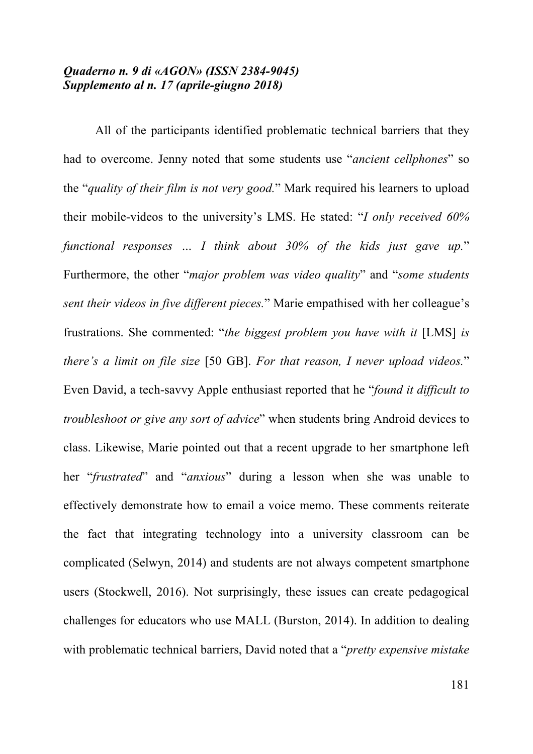All of the participants identified problematic technical barriers that they had to overcome. Jenny noted that some students use "*ancient cellphones*" so the "*quality of their film is not very good.*" Mark required his learners to upload their mobile-videos to the university's LMS. He stated: "*I only received 60% functional responses … I think about 30% of the kids just gave up.*" Furthermore, the other "*major problem was video quality*" and "*some students sent their videos in five different pieces.*" Marie empathised with her colleague's frustrations. She commented: "*the biggest problem you have with it* [LMS] *is there's a limit on file size* [50 GB]. *For that reason, I never upload videos.*" Even David, a tech-savvy Apple enthusiast reported that he "*found it difficult to troubleshoot or give any sort of advice*" when students bring Android devices to class. Likewise, Marie pointed out that a recent upgrade to her smartphone left her "*frustrated*" and "*anxious*" during a lesson when she was unable to effectively demonstrate how to email a voice memo. These comments reiterate the fact that integrating technology into a university classroom can be complicated (Selwyn, 2014) and students are not always competent smartphone users (Stockwell, 2016). Not surprisingly, these issues can create pedagogical challenges for educators who use MALL (Burston, 2014). In addition to dealing with problematic technical barriers, David noted that a "*pretty expensive mistake*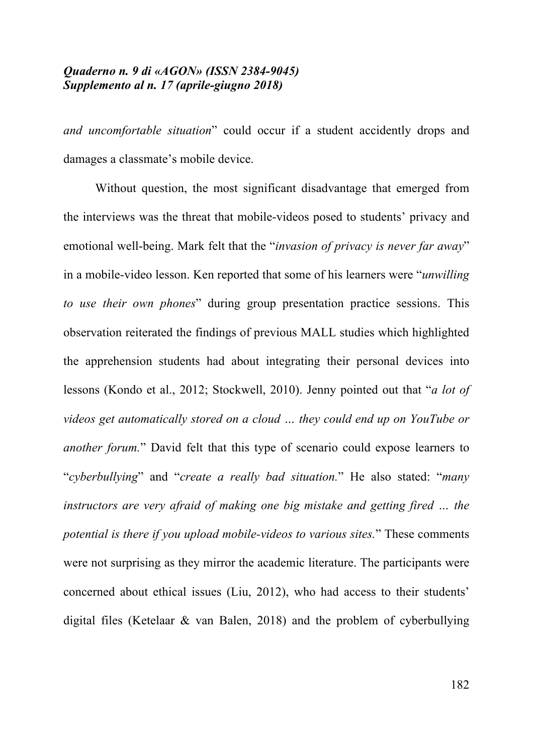*and uncomfortable situation*" could occur if a student accidently drops and damages a classmate's mobile device.

Without question, the most significant disadvantage that emerged from the interviews was the threat that mobile-videos posed to students' privacy and emotional well-being. Mark felt that the "*invasion of privacy is never far away*" in a mobile-video lesson. Ken reported that some of his learners were "*unwilling to use their own phones*" during group presentation practice sessions. This observation reiterated the findings of previous MALL studies which highlighted the apprehension students had about integrating their personal devices into lessons (Kondo et al., 2012; Stockwell, 2010). Jenny pointed out that "*a lot of videos get automatically stored on a cloud … they could end up on YouTube or another forum.*" David felt that this type of scenario could expose learners to "*cyberbullying*" and "*create a really bad situation.*" He also stated: "*many instructors are very afraid of making one big mistake and getting fired … the potential is there if you upload mobile-videos to various sites.*" These comments were not surprising as they mirror the academic literature. The participants were concerned about ethical issues (Liu, 2012), who had access to their students' digital files (Ketelaar & van Balen, 2018) and the problem of cyberbullying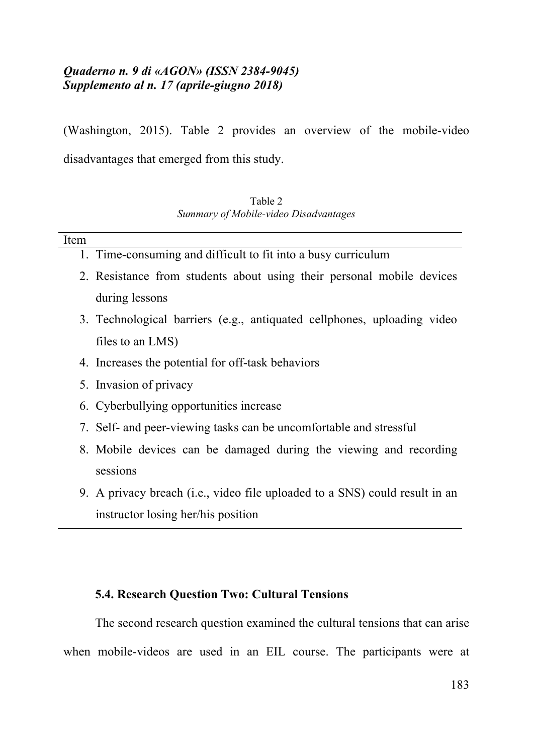(Washington, 2015). Table 2 provides an overview of the mobile-video disadvantages that emerged from this study.

| Table 2                               |  |
|---------------------------------------|--|
| Summary of Mobile-video Disadvantages |  |

| Item |                                                                         |
|------|-------------------------------------------------------------------------|
|      | 1. Time-consuming and difficult to fit into a busy curriculum           |
|      | 2. Resistance from students about using their personal mobile devices   |
|      | during lessons                                                          |
|      | 3. Technological barriers (e.g., antiquated cellphones, uploading video |
|      | files to an LMS)                                                        |

- 4. Increases the potential for off-task behaviors
- 5. Invasion of privacy
- 6. Cyberbullying opportunities increase
- 7. Self- and peer-viewing tasks can be uncomfortable and stressful
- 8. Mobile devices can be damaged during the viewing and recording sessions
- 9. A privacy breach (i.e., video file uploaded to a SNS) could result in an instructor losing her/his position

# **5.4. Research Question Two: Cultural Tensions**

The second research question examined the cultural tensions that can arise when mobile-videos are used in an EIL course. The participants were at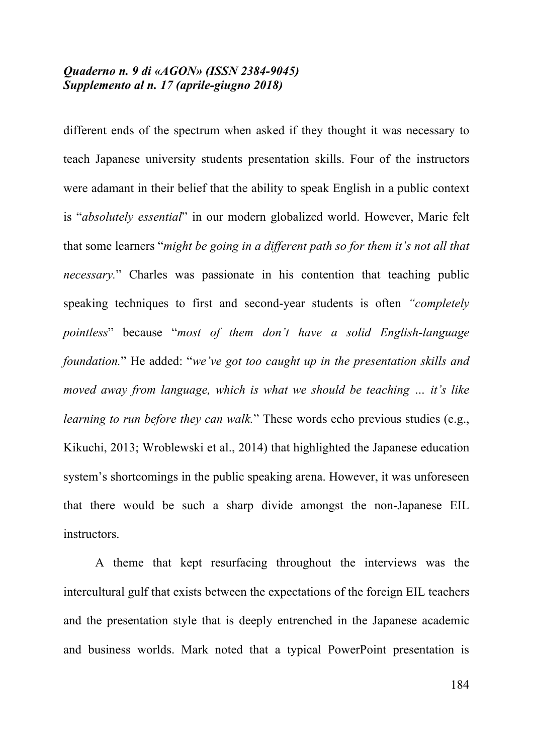different ends of the spectrum when asked if they thought it was necessary to teach Japanese university students presentation skills. Four of the instructors were adamant in their belief that the ability to speak English in a public context is "*absolutely essential*" in our modern globalized world. However, Marie felt that some learners "*might be going in a different path so for them it's not all that necessary.*" Charles was passionate in his contention that teaching public speaking techniques to first and second-year students is often *"completely pointless*" because "*most of them don't have a solid English-language foundation.*" He added: "*we've got too caught up in the presentation skills and moved away from language, which is what we should be teaching … it's like learning to run before they can walk.*" These words echo previous studies (e.g., Kikuchi, 2013; Wroblewski et al., 2014) that highlighted the Japanese education system's shortcomings in the public speaking arena. However, it was unforeseen that there would be such a sharp divide amongst the non-Japanese EIL instructors.

A theme that kept resurfacing throughout the interviews was the intercultural gulf that exists between the expectations of the foreign EIL teachers and the presentation style that is deeply entrenched in the Japanese academic and business worlds. Mark noted that a typical PowerPoint presentation is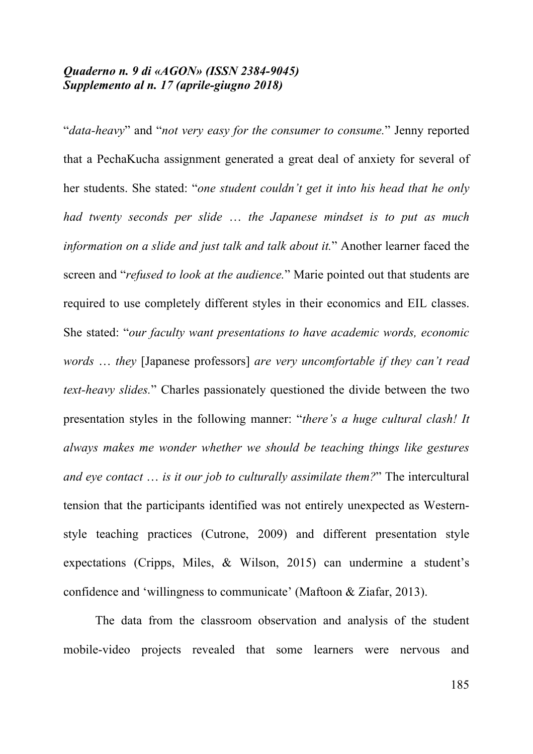"*data-heavy*" and "*not very easy for the consumer to consume.*" Jenny reported that a PechaKucha assignment generated a great deal of anxiety for several of her students. She stated: "*one student couldn't get it into his head that he only had twenty seconds per slide* … *the Japanese mindset is to put as much information on a slide and just talk and talk about it.*" Another learner faced the screen and "*refused to look at the audience.*" Marie pointed out that students are required to use completely different styles in their economics and EIL classes. She stated: "*our faculty want presentations to have academic words, economic words* … *they* [Japanese professors] *are very uncomfortable if they can't read text-heavy slides.*" Charles passionately questioned the divide between the two presentation styles in the following manner: "*there's a huge cultural clash! It always makes me wonder whether we should be teaching things like gestures and eye contact* … *is it our job to culturally assimilate them?*" The intercultural tension that the participants identified was not entirely unexpected as Westernstyle teaching practices (Cutrone, 2009) and different presentation style expectations (Cripps, Miles, & Wilson, 2015) can undermine a student's confidence and 'willingness to communicate' (Maftoon & Ziafar, 2013).

The data from the classroom observation and analysis of the student mobile-video projects revealed that some learners were nervous and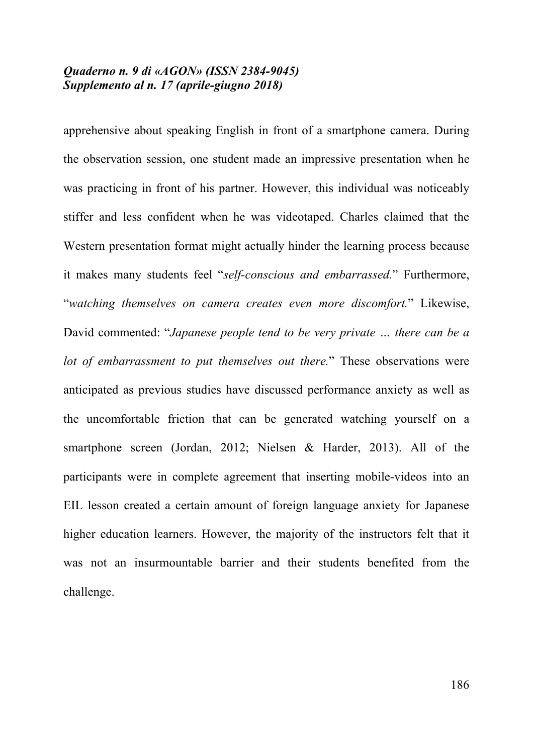apprehensive about speaking English in front of a smartphone camera. During the observation session, one student made an impressive presentation when he was practicing in front of his partner. However, this individual was noticeably stiffer and less confident when he was videotaped. Charles claimed that the Western presentation format might actually hinder the learning process because it makes many students feel "*self-conscious and embarrassed.*" Furthermore, "*watching themselves on camera creates even more discomfort.*" Likewise, David commented: "*Japanese people tend to be very private … there can be a lot of embarrassment to put themselves out there.*" These observations were anticipated as previous studies have discussed performance anxiety as well as the uncomfortable friction that can be generated watching yourself on a smartphone screen (Jordan, 2012; Nielsen & Harder, 2013). All of the participants were in complete agreement that inserting mobile-videos into an EIL lesson created a certain amount of foreign language anxiety for Japanese higher education learners. However, the majority of the instructors felt that it was not an insurmountable barrier and their students benefited from the challenge.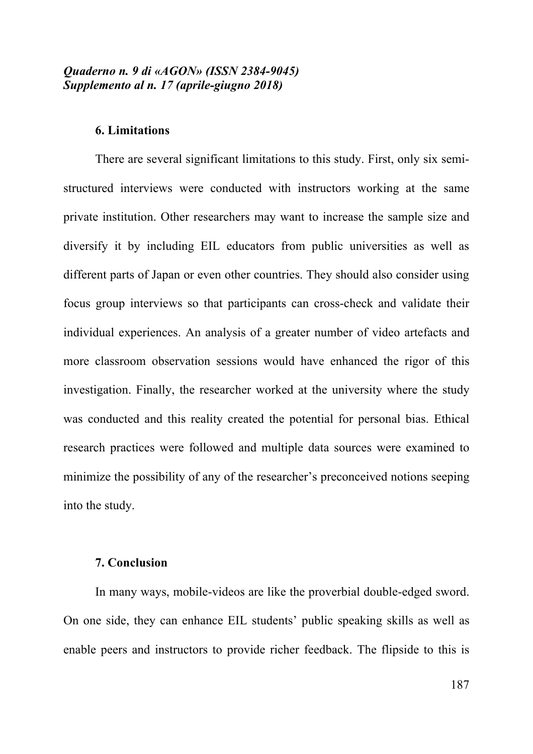## **6. Limitations**

There are several significant limitations to this study. First, only six semistructured interviews were conducted with instructors working at the same private institution. Other researchers may want to increase the sample size and diversify it by including EIL educators from public universities as well as different parts of Japan or even other countries. They should also consider using focus group interviews so that participants can cross-check and validate their individual experiences. An analysis of a greater number of video artefacts and more classroom observation sessions would have enhanced the rigor of this investigation. Finally, the researcher worked at the university where the study was conducted and this reality created the potential for personal bias. Ethical research practices were followed and multiple data sources were examined to minimize the possibility of any of the researcher's preconceived notions seeping into the study.

#### **7. Conclusion**

In many ways, mobile-videos are like the proverbial double-edged sword. On one side, they can enhance EIL students' public speaking skills as well as enable peers and instructors to provide richer feedback. The flipside to this is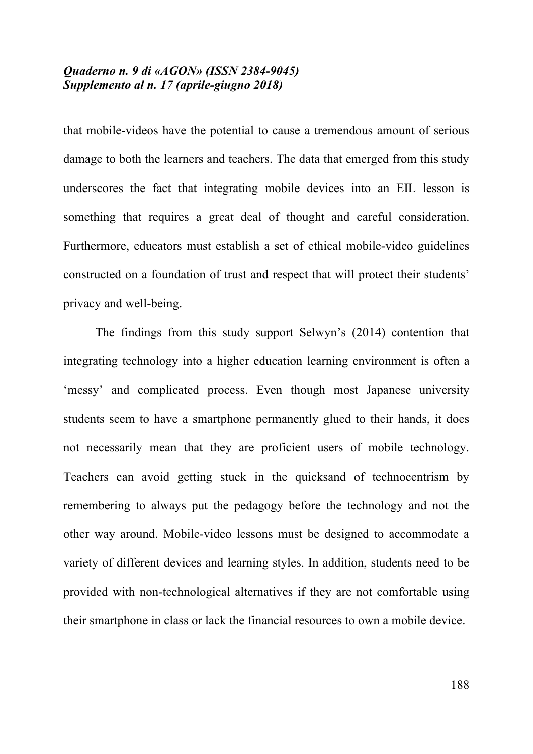that mobile-videos have the potential to cause a tremendous amount of serious damage to both the learners and teachers. The data that emerged from this study underscores the fact that integrating mobile devices into an EIL lesson is something that requires a great deal of thought and careful consideration. Furthermore, educators must establish a set of ethical mobile-video guidelines constructed on a foundation of trust and respect that will protect their students' privacy and well-being.

The findings from this study support Selwyn's (2014) contention that integrating technology into a higher education learning environment is often a 'messy' and complicated process. Even though most Japanese university students seem to have a smartphone permanently glued to their hands, it does not necessarily mean that they are proficient users of mobile technology. Teachers can avoid getting stuck in the quicksand of technocentrism by remembering to always put the pedagogy before the technology and not the other way around. Mobile-video lessons must be designed to accommodate a variety of different devices and learning styles. In addition, students need to be provided with non-technological alternatives if they are not comfortable using their smartphone in class or lack the financial resources to own a mobile device.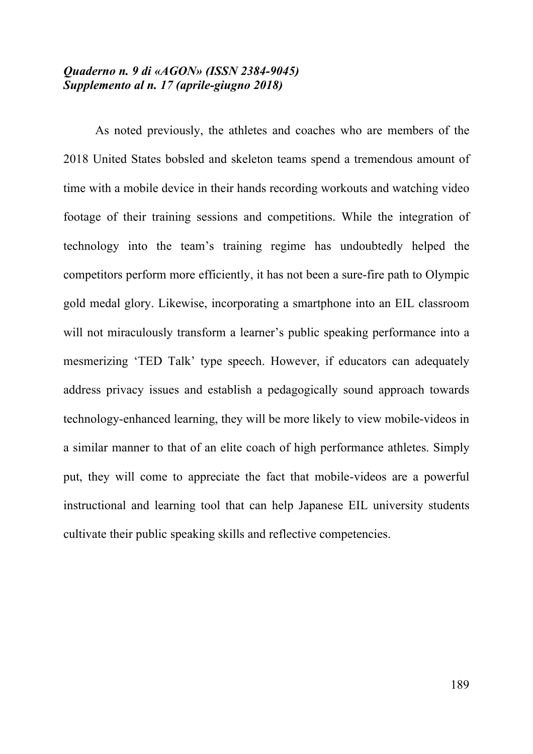As noted previously, the athletes and coaches who are members of the 2018 United States bobsled and skeleton teams spend a tremendous amount of time with a mobile device in their hands recording workouts and watching video footage of their training sessions and competitions. While the integration of technology into the team's training regime has undoubtedly helped the competitors perform more efficiently, it has not been a sure-fire path to Olympic gold medal glory. Likewise, incorporating a smartphone into an EIL classroom will not miraculously transform a learner's public speaking performance into a mesmerizing 'TED Talk' type speech. However, if educators can adequately address privacy issues and establish a pedagogically sound approach towards technology-enhanced learning, they will be more likely to view mobile-videos in a similar manner to that of an elite coach of high performance athletes. Simply put, they will come to appreciate the fact that mobile-videos are a powerful instructional and learning tool that can help Japanese EIL university students cultivate their public speaking skills and reflective competencies.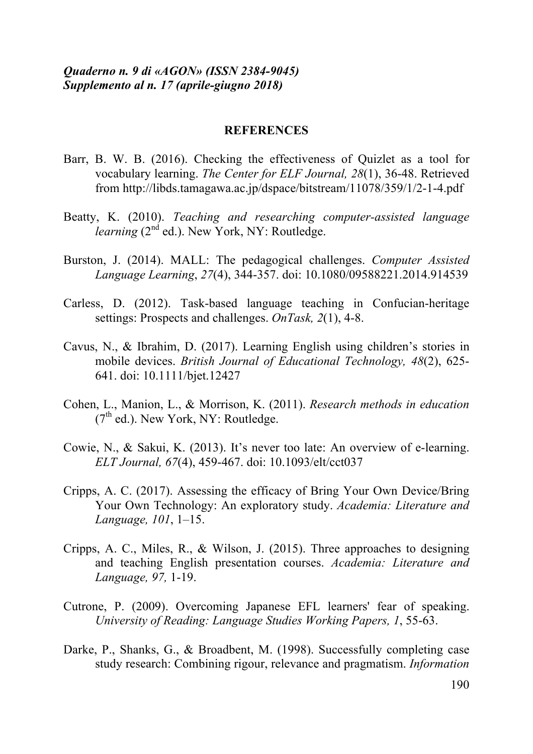#### **REFERENCES**

- Barr, B. W. B. (2016). Checking the effectiveness of Quizlet as a tool for vocabulary learning. *The Center for ELF Journal, 28*(1), 36-48. Retrieved from http://libds.tamagawa.ac.jp/dspace/bitstream/11078/359/1/2-1-4.pdf
- Beatty, K. (2010). *Teaching and researching computer-assisted language learning*  $(2^{nd}$  ed.). New York, NY: Routledge.
- Burston, J. (2014). MALL: The pedagogical challenges. *Computer Assisted Language Learning*, *27*(4), 344-357. doi: 10.1080/09588221.2014.914539
- Carless, D. (2012). Task-based language teaching in Confucian-heritage settings: Prospects and challenges. *OnTask, 2*(1), 4-8.
- Cavus, N., & Ibrahim, D. (2017). Learning English using children's stories in mobile devices. *British Journal of Educational Technology, 48*(2), 625- 641. doi: 10.1111/bjet.12427
- Cohen, L., Manion, L., & Morrison, K. (2011). *Research methods in education*  $(7<sup>th</sup>$  ed.). New York, NY: Routledge.
- Cowie, N., & Sakui, K. (2013). It's never too late: An overview of e-learning. *ELT Journal, 67*(4), 459-467. doi: 10.1093/elt/cct037
- Cripps, A. C. (2017). Assessing the efficacy of Bring Your Own Device/Bring Your Own Technology: An exploratory study. *Academia: Literature and Language, 101*, 1–15.
- Cripps, A. C., Miles, R., & Wilson, J. (2015). Three approaches to designing and teaching English presentation courses. *Academia: Literature and Language, 97,* 1-19.
- Cutrone, P. (2009). Overcoming Japanese EFL learners' fear of speaking. *University of Reading: Language Studies Working Papers, 1*, 55-63.
- Darke, P., Shanks, G., & Broadbent, M. (1998). Successfully completing case study research: Combining rigour, relevance and pragmatism. *Information*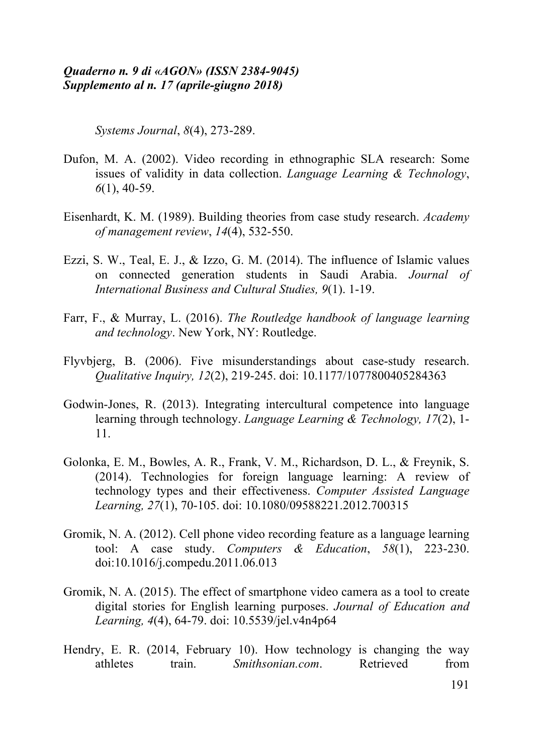*Systems Journal*, *8*(4), 273-289.

- Dufon, M. A. (2002). Video recording in ethnographic SLA research: Some issues of validity in data collection. *Language Learning & Technology*, *6*(1), 40-59.
- Eisenhardt, K. M. (1989). Building theories from case study research. *Academy of management review*, *14*(4), 532-550.
- Ezzi, S. W., Teal, E. J., & Izzo, G. M. (2014). The influence of Islamic values on connected generation students in Saudi Arabia. *Journal of International Business and Cultural Studies, 9*(1). 1-19.
- Farr, F., & Murray, L. (2016). *The Routledge handbook of language learning and technology*. New York, NY: Routledge.
- Flyvbjerg, B. (2006). Five misunderstandings about case-study research. *Qualitative Inquiry, 12*(2), 219-245. doi: 10.1177/1077800405284363
- Godwin-Jones, R. (2013). Integrating intercultural competence into language learning through technology. *Language Learning & Technology, 17*(2), 1- 11.
- Golonka, E. M., Bowles, A. R., Frank, V. M., Richardson, D. L., & Freynik, S. (2014). Technologies for foreign language learning: A review of technology types and their effectiveness. *Computer Assisted Language Learning, 27*(1), 70-105. doi: 10.1080/09588221.2012.700315
- Gromik, N. A. (2012). Cell phone video recording feature as a language learning tool: A case study. *Computers & Education*, *58*(1), 223-230. doi:10.1016/j.compedu.2011.06.013
- Gromik, N. A. (2015). The effect of smartphone video camera as a tool to create digital stories for English learning purposes. *Journal of Education and Learning, 4*(4), 64-79. doi: 10.5539/jel.v4n4p64
- Hendry, E. R. (2014, February 10). How technology is changing the way athletes train. *Smithsonian.com*. Retrieved from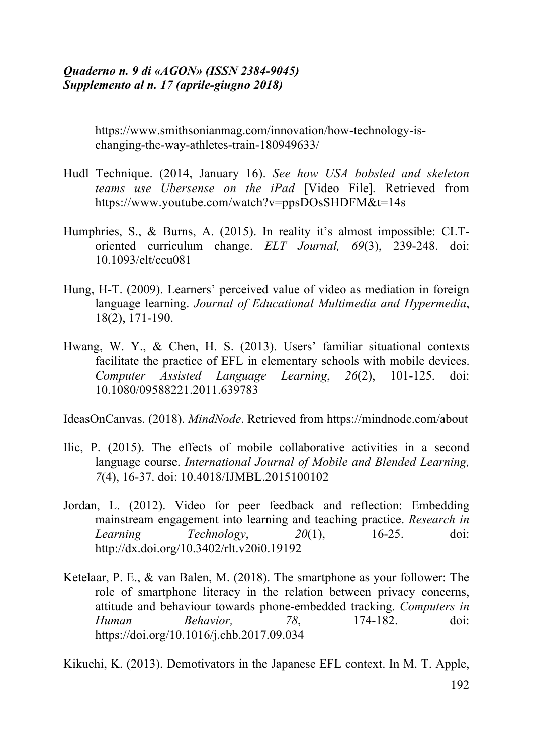https://www.smithsonianmag.com/innovation/how-technology-ischanging-the-way-athletes-train-180949633/

- Hudl Technique. (2014, January 16). *See how USA bobsled and skeleton teams use Ubersense on the iPad* [Video File]*.* Retrieved from https://www.youtube.com/watch?v=ppsDOsSHDFM&t=14s
- Humphries, S., & Burns, A. (2015). In reality it's almost impossible: CLToriented curriculum change. *ELT Journal, 69*(3), 239-248. doi: 10.1093/elt/ccu081
- Hung, H-T. (2009). Learners' perceived value of video as mediation in foreign language learning. *Journal of Educational Multimedia and Hypermedia*, 18(2), 171-190.
- Hwang, W. Y., & Chen, H. S. (2013). Users' familiar situational contexts facilitate the practice of EFL in elementary schools with mobile devices. *Computer Assisted Language Learning*, *26*(2), 101-125. doi: 10.1080/09588221.2011.639783

IdeasOnCanvas. (2018). *MindNode*. Retrieved from https://mindnode.com/about

- Ilic, P. (2015). The effects of mobile collaborative activities in a second language course. *International Journal of Mobile and Blended Learning, 7*(4), 16-37. doi: 10.4018/IJMBL.2015100102
- Jordan, L. (2012). Video for peer feedback and reflection: Embedding mainstream engagement into learning and teaching practice. *Research in Learning Technology*, *20*(1), 16-25. doi: http://dx.doi.org/10.3402/rlt.v20i0.19192
- Ketelaar, P. E., & van Balen, M. (2018). The smartphone as your follower: The role of smartphone literacy in the relation between privacy concerns, attitude and behaviour towards phone-embedded tracking. *Computers in Human Behavior, 78*, 174-182. doi: https://doi.org/10.1016/j.chb.2017.09.034

Kikuchi, K. (2013). Demotivators in the Japanese EFL context. In M. T. Apple,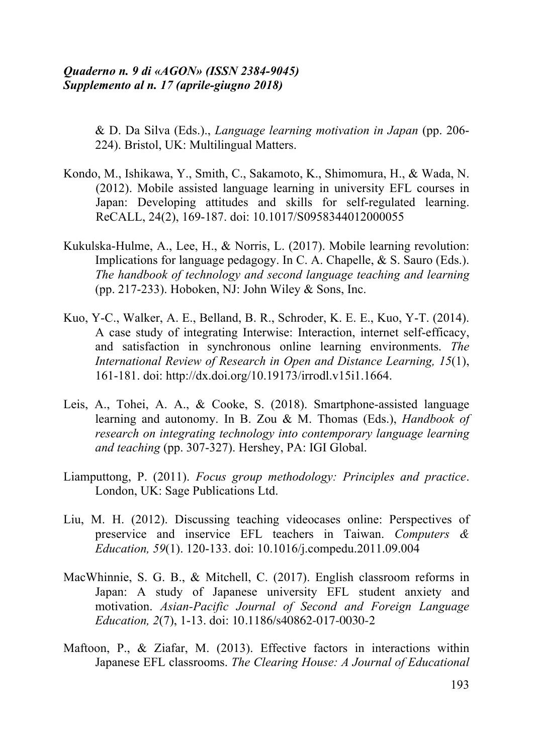& D. Da Silva (Eds.)., *Language learning motivation in Japan* (pp. 206- 224). Bristol, UK: Multilingual Matters.

- Kondo, M., Ishikawa, Y., Smith, C., Sakamoto, K., Shimomura, H., & Wada, N. (2012). Mobile assisted language learning in university EFL courses in Japan: Developing attitudes and skills for self-regulated learning. ReCALL, 24(2), 169-187. doi: 10.1017/S0958344012000055
- Kukulska-Hulme, A., Lee, H., & Norris, L. (2017). Mobile learning revolution: Implications for language pedagogy. In C. A. Chapelle, & S. Sauro (Eds.). *The handbook of technology and second language teaching and learning* (pp. 217-233). Hoboken, NJ: John Wiley  $&$  Sons, Inc.
- Kuo, Y-C., Walker, A. E., Belland, B. R., Schroder, K. E. E., Kuo, Y-T. (2014). A case study of integrating Interwise: Interaction, internet self-efficacy, and satisfaction in synchronous online learning environments. *The International Review of Research in Open and Distance Learning, 15*(1), 161-181. doi: http://dx.doi.org/10.19173/irrodl.v15i1.1664.
- Leis, A., Tohei, A. A., & Cooke, S. (2018). Smartphone-assisted language learning and autonomy. In B. Zou & M. Thomas (Eds.), *Handbook of research on integrating technology into contemporary language learning and teaching* (pp. 307-327). Hershey, PA: IGI Global.
- Liamputtong, P. (2011). *Focus group methodology: Principles and practice*. London, UK: Sage Publications Ltd.
- Liu, M. H. (2012). Discussing teaching videocases online: Perspectives of preservice and inservice EFL teachers in Taiwan. *Computers & Education, 59*(1). 120-133. doi: 10.1016/j.compedu.2011.09.004
- MacWhinnie, S. G. B., & Mitchell, C. (2017). English classroom reforms in Japan: A study of Japanese university EFL student anxiety and motivation. *Asian-Pacific Journal of Second and Foreign Language Education, 2*(7), 1-13. doi: 10.1186/s40862-017-0030-2
- Maftoon, P., & Ziafar, M. (2013). Effective factors in interactions within Japanese EFL classrooms. *The Clearing House: A Journal of Educational*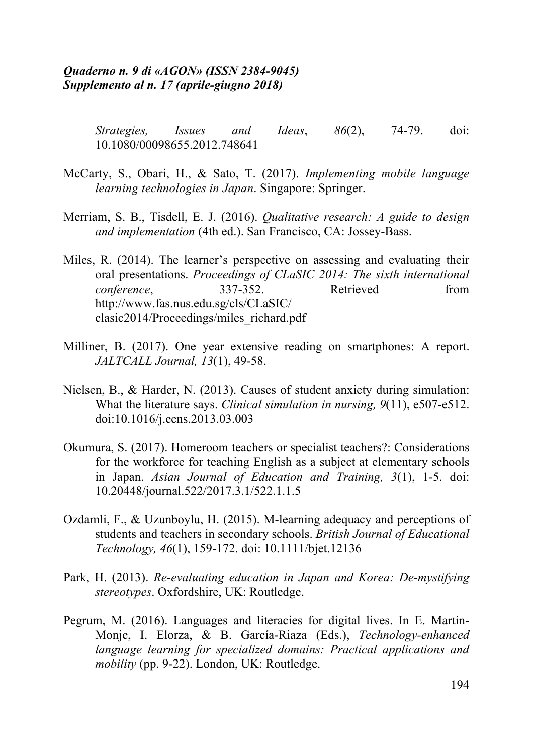*Strategies, Issues and Ideas*, *86*(2), 74-79. doi: 10.1080/00098655.2012.748641

- McCarty, S., Obari, H., & Sato, T. (2017). *Implementing mobile language learning technologies in Japan*. Singapore: Springer.
- Merriam, S. B., Tisdell, E. J. (2016). *Qualitative research: A guide to design and implementation* (4th ed.). San Francisco, CA: Jossey-Bass.
- Miles, R. (2014). The learner's perspective on assessing and evaluating their oral presentations. *Proceedings of CLaSIC 2014: The sixth international conference*, 337-352. Retrieved from http://www.fas.nus.edu.sg/cls/CLaSIC/ clasic2014/Proceedings/miles\_richard.pdf
- Milliner, B. (2017). One year extensive reading on smartphones: A report. *JALTCALL Journal, 13*(1), 49-58.
- Nielsen, B., & Harder, N. (2013). Causes of student anxiety during simulation: What the literature says. *Clinical simulation in nursing, 9*(11), e507-e512. doi:10.1016/j.ecns.2013.03.003
- Okumura, S. (2017). Homeroom teachers or specialist teachers?: Considerations for the workforce for teaching English as a subject at elementary schools in Japan. *Asian Journal of Education and Training, 3*(1), 1-5. doi: 10.20448/journal.522/2017.3.1/522.1.1.5
- Ozdamli, F., & Uzunboylu, H. (2015). M-learning adequacy and perceptions of students and teachers in secondary schools. *British Journal of Educational Technology, 46*(1), 159-172. doi: 10.1111/bjet.12136
- Park, H. (2013). *Re-evaluating education in Japan and Korea: De-mystifying stereotypes*. Oxfordshire, UK: Routledge.
- Pegrum, M. (2016). Languages and literacies for digital lives. In E. Martín-Monje, I. Elorza, & B. García-Riaza (Eds.), *Technology-enhanced language learning for specialized domains: Practical applications and mobility* (pp. 9-22). London, UK: Routledge.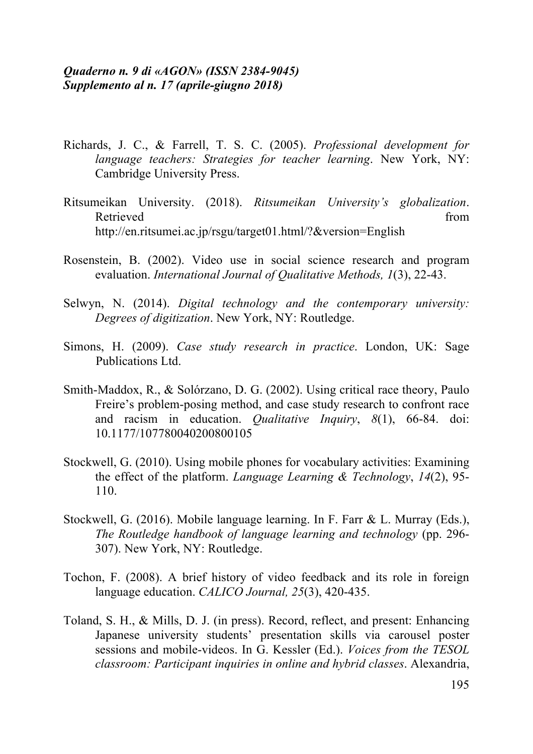- Richards, J. C., & Farrell, T. S. C. (2005). *Professional development for language teachers: Strategies for teacher learning*. New York, NY: Cambridge University Press.
- Ritsumeikan University. (2018). *Ritsumeikan University's globalization*. Retrieved from the state of the state of the state of the state of the state of the state of the state of the state of the state of the state of the state of the state of the state of the state of the state of the state of http://en.ritsumei.ac.jp/rsgu/target01.html/?&version=English
- Rosenstein, B. (2002). Video use in social science research and program evaluation. *International Journal of Qualitative Methods, 1*(3), 22-43.
- Selwyn, N. (2014). *Digital technology and the contemporary university: Degrees of digitization*. New York, NY: Routledge.
- Simons, H. (2009). *Case study research in practice*. London, UK: Sage Publications Ltd.
- Smith-Maddox, R., & Solórzano, D. G. (2002). Using critical race theory, Paulo Freire's problem-posing method, and case study research to confront race and racism in education. *Qualitative Inquiry*, *8*(1), 66-84. doi: 10.1177/107780040200800105
- Stockwell, G. (2010). Using mobile phones for vocabulary activities: Examining the effect of the platform. *Language Learning & Technology*, *14*(2), 95- 110.
- Stockwell, G. (2016). Mobile language learning. In F. Farr & L. Murray (Eds.), *The Routledge handbook of language learning and technology* (pp. 296- 307). New York, NY: Routledge.
- Tochon, F. (2008). A brief history of video feedback and its role in foreign language education. *CALICO Journal, 25*(3), 420-435.
- Toland, S. H., & Mills, D. J. (in press). Record, reflect, and present: Enhancing Japanese university students' presentation skills via carousel poster sessions and mobile-videos. In G. Kessler (Ed.). *Voices from the TESOL classroom: Participant inquiries in online and hybrid classes*. Alexandria,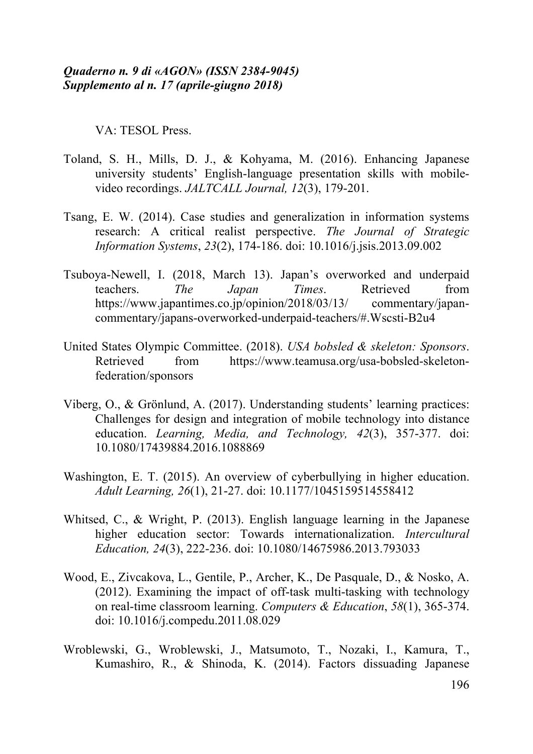VA: TESOL Press.

- Toland, S. H., Mills, D. J., & Kohyama, M. (2016). Enhancing Japanese university students' English-language presentation skills with mobilevideo recordings. *JALTCALL Journal, 12*(3), 179-201.
- Tsang, E. W. (2014). Case studies and generalization in information systems research: A critical realist perspective. *The Journal of Strategic Information Systems*, *23*(2), 174-186. doi: 10.1016/j.jsis.2013.09.002
- Tsuboya-Newell, I. (2018, March 13). Japan's overworked and underpaid teachers. *The Japan Times*. Retrieved from https://www.japantimes.co.jp/opinion/2018/03/13/ commentary/japancommentary/japans-overworked-underpaid-teachers/#.Wscsti-B2u4
- United States Olympic Committee. (2018). *USA bobsled & skeleton: Sponsors*. Retrieved from https://www.teamusa.org/usa-bobsled-skeletonfederation/sponsors
- Viberg, O., & Grönlund, A. (2017). Understanding students' learning practices: Challenges for design and integration of mobile technology into distance education. *Learning, Media, and Technology, 42*(3), 357-377. doi: 10.1080/17439884.2016.1088869
- Washington, E. T. (2015). An overview of cyberbullying in higher education. *Adult Learning, 26*(1), 21-27. doi: 10.1177/1045159514558412
- Whitsed, C., & Wright, P. (2013). English language learning in the Japanese higher education sector: Towards internationalization. *Intercultural Education, 24*(3), 222-236. doi: 10.1080/14675986.2013.793033
- Wood, E., Zivcakova, L., Gentile, P., Archer, K., De Pasquale, D., & Nosko, A. (2012). Examining the impact of off-task multi-tasking with technology on real-time classroom learning. *Computers & Education*, *58*(1), 365-374. doi: 10.1016/j.compedu.2011.08.029
- Wroblewski, G., Wroblewski, J., Matsumoto, T., Nozaki, I., Kamura, T., Kumashiro, R., & Shinoda, K. (2014). Factors dissuading Japanese